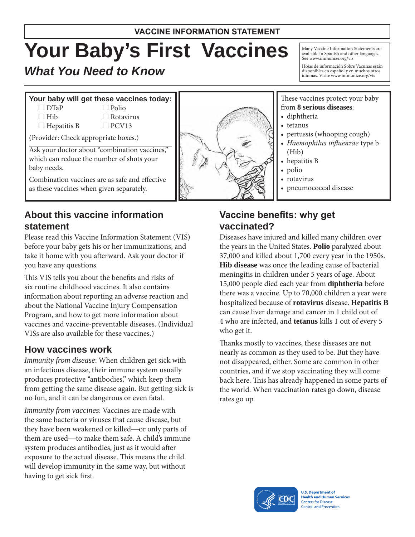#### **VACCINE INFORMATION STATEMENT**

# **Your Baby's First Vaccines**

# *What You Need to Know*

Many Vaccine Information Statements are available in Spanish and other languages. See [www.immunize.org/vis](http://www.immunize.org/vis)

Hojas de información Sobre Vacunas están disponibles en español y en muchos otros idiomas. Visite [www.immunize.org/vis](http://www.immunize.org/vis)

#### **Your baby will get these vaccines today:**

- $\Box$  DTaP  $\Box$  Polio
	-
- $\Box$  Hib  $\Box$  Rotavirus
- $\Box$  Hepatitis B  $\Box$  PCV13
- 

(Provider: Check appropriate boxes.)

Ask your doctor about "combination vaccines," which can reduce the number of shots your baby needs.

Combination vaccines are as safe and effective as these vaccines when given separately.

# **About this vaccine information statement**

Please read this Vaccine Information Statement (VIS) before your baby gets his or her immunizations, and take it home with you afterward. Ask your doctor if you have any questions.

This VIS tells you about the benefits and risks of six routine childhood vaccines. It also contains information about reporting an adverse reaction and about the National Vaccine Injury Compensation Program, and how to get more information about vaccines and vaccine-preventable diseases. (Individual VISs are also available for these vaccines.)

### **How vaccines work**

*Immunity from disease*: When children get sick with an infectious disease, their immune system usually produces protective "antibodies," which keep them from getting the same disease again. But getting sick is no fun, and it can be dangerous or even fatal.

*Immunity from vaccines*: Vaccines are made with the same bacteria or viruses that cause disease, but they have been weakened or killed—or only parts of them are used—to make them safe. A child's immune system produces antibodies, just as it would after exposure to the actual disease. This means the child will develop immunity in the same way, but without having to get sick first.



#### These vaccines protect your baby from **8 serious diseases**:

- • diphtheria
- • tetanus
- pertussis (whooping cough)
- • *Haemophilus influenzae* type b (Hib)
- hepatitis B
- polio
- rotavirus
- pneumococcal disease

### **Vaccine benefits: why get vaccinated?**

Diseases have injured and killed many children over the years in the United States. **Polio** paralyzed about 37,000 and killed about 1,700 every year in the 1950s. **Hib disease** was once the leading cause of bacterial meningitis in children under 5 years of age. About 15,000 people died each year from **diphtheria** before there was a vaccine. Up to 70,000 children a year were hospitalized because of **rotavirus** disease. **Hepatitis B**  can cause liver damage and cancer in 1 child out of 4 who are infected, and **tetanus** kills 1 out of every 5 who get it.

Thanks mostly to vaccines, these diseases are not nearly as common as they used to be. But they have not disappeared, either. Some are common in other countries, and if we stop vaccinating they will come back here. This has already happened in some parts of the world. When vaccination rates go down, disease rates go up.



**U.S. Department of Health and Human Services Centers for Disease Control and Prevention**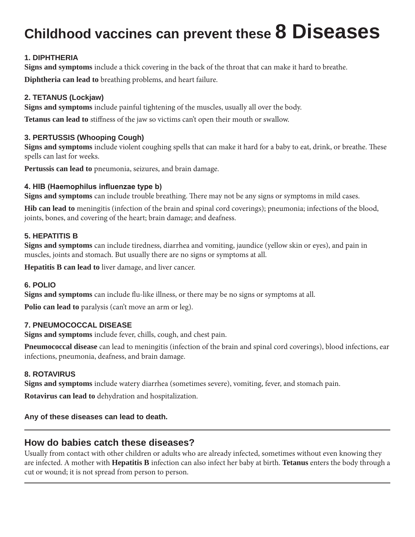# **Childhood vaccines can prevent these 8 Diseases**

#### **1. DIPHTHERIA**

**Signs and symptoms** include a thick covering in the back of the throat that can make it hard to breathe.

**Diphtheria can lead to** breathing problems, and heart failure.

#### **2. TETANUS (Lockjaw)**

**Signs and symptoms** include painful tightening of the muscles, usually all over the body.

**Tetanus can lead to** stiffness of the jaw so victims can't open their mouth or swallow.

#### **3. PERTUSSIS (Whooping Cough)**

**Signs and symptoms** include violent coughing spells that can make it hard for a baby to eat, drink, or breathe. These spells can last for weeks.

**Pertussis can lead to** pneumonia, seizures, and brain damage.

#### **4. HIB (Haemophilus influenzae type b)**

**Signs and symptoms** can include trouble breathing. There may not be any signs or symptoms in mild cases.

**Hib can lead to** meningitis (infection of the brain and spinal cord coverings); pneumonia; infections of the blood, joints, bones, and covering of the heart; brain damage; and deafness.

#### **5. HEPATITIS B**

**Signs and symptoms** can include tiredness, diarrhea and vomiting, jaundice (yellow skin or eyes), and pain in muscles, joints and stomach. But usually there are no signs or symptoms at all.

**Hepatitis B can lead to** liver damage, and liver cancer.

#### **6. POLIO**

**Signs and symptoms** can include flu-like illness, or there may be no signs or symptoms at all.

**Polio can lead to** paralysis (can't move an arm or leg).

#### **7. PNEUMOCOCCAL DISEASE**

**Signs and symptoms** include fever, chills, cough, and chest pain.

**Pneumococcal disease** can lead to meningitis (infection of the brain and spinal cord coverings), blood infections, ear infections, pneumonia, deafness, and brain damage.

#### **8. ROTAVIRUS**

**Signs and symptoms** include watery diarrhea (sometimes severe), vomiting, fever, and stomach pain.

**Rotavirus can lead to** dehydration and hospitalization.

#### **Any of these diseases can lead to death.**

### **How do babies catch these diseases?**

Usually from contact with other children or adults who are already infected, sometimes without even knowing they are infected. A mother with **Hepatitis B** infection can also infect her baby at birth. **Tetanus** enters the body through a cut or wound; it is not spread from person to person.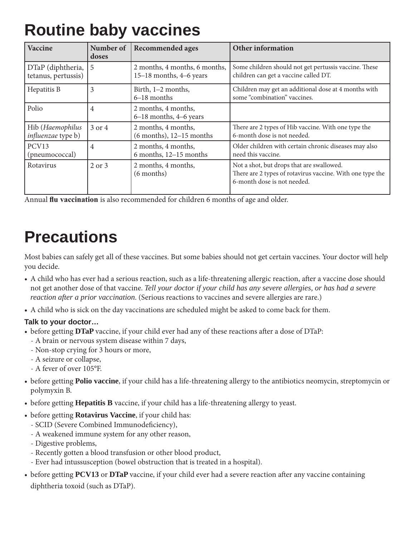# **Routine baby vaccines**

| <b>Vaccine</b>                                | Number of<br>doses | Recommended ages                                         | Other information                                                                                                                     |
|-----------------------------------------------|--------------------|----------------------------------------------------------|---------------------------------------------------------------------------------------------------------------------------------------|
| DTaP (diphtheria,<br>tetanus, pertussis)      | 5                  | 2 months, 4 months, 6 months,<br>15-18 months, 4-6 years | Some children should not get pertussis vaccine. These<br>children can get a vaccine called DT.                                        |
| Hepatitis B                                   | 3                  | Birth, $1-2$ months,<br>$6-18$ months                    | Children may get an additional dose at 4 months with<br>some "combination" vaccines.                                                  |
| Polio                                         | 4                  | 2 months, 4 months,<br>$6-18$ months, $4-6$ years        |                                                                                                                                       |
| Hib (Haemophilus<br><i>influenzae</i> type b) | 3 or 4             | 2 months, 4 months,<br>$(6$ months), $12-15$ months      | There are 2 types of Hib vaccine. With one type the<br>6-month dose is not needed.                                                    |
| PCV <sub>13</sub><br>(pneumococcal)           | $\overline{4}$     | 2 months, 4 months,<br>6 months, $12-15$ months          | Older children with certain chronic diseases may also<br>need this vaccine.                                                           |
| Rotavirus                                     | 2 or 3             | 2 months, 4 months,<br>$(6$ months)                      | Not a shot, but drops that are swallowed.<br>There are 2 types of rotavirus vaccine. With one type the<br>6-month dose is not needed. |

Annual **flu vaccination** is also recommended for children 6 months of age and older.

# **Precautions**

Most babies can safely get all of these vaccines. But some babies should not get certain vaccines. Your doctor will help you decide.

- • A child who has ever had a serious reaction, such as a life-threatening allergic reaction, after a vaccine dose should not get another dose of that vaccine. *Tell your doctor if your child has any severe allergies, or has had a severe reaction after a prior vaccination*. (Serious reactions to vaccines and severe allergies are rare.)
- • A child who is sick on the day vaccinations are scheduled might be asked to come back for them.

#### **Talk to your doctor…**

- • before getting **DTaP** vaccine, if your child ever had any of these reactions after a dose of DTaP:
	- A brain or nervous system disease within 7 days,
	- Non-stop crying for 3 hours or more,
	- A seizure or collapse,
	- A fever of over 105°F.
- • before getting **Polio vaccine**, if your child has a life-threatening allergy to the antibiotics neomycin, streptomycin or polymyxin B.
- • before getting **Hepatitis B** vaccine, if your child has a life-threatening allergy to yeast.
- before getting **Rotavirus Vaccine**, if your child has:
	- SCID (Severe Combined Immunodeficiency),
	- A weakened immune system for any other reason,
	- Digestive problems,
	- Recently gotten a blood transfusion or other blood product,
	- Ever had intussusception (bowel obstruction that is treated in a hospital).
- • before getting **PCV13** or **DTaP** vaccine, if your child ever had a severe reaction after any vaccine containing diphtheria toxoid (such as DTaP).